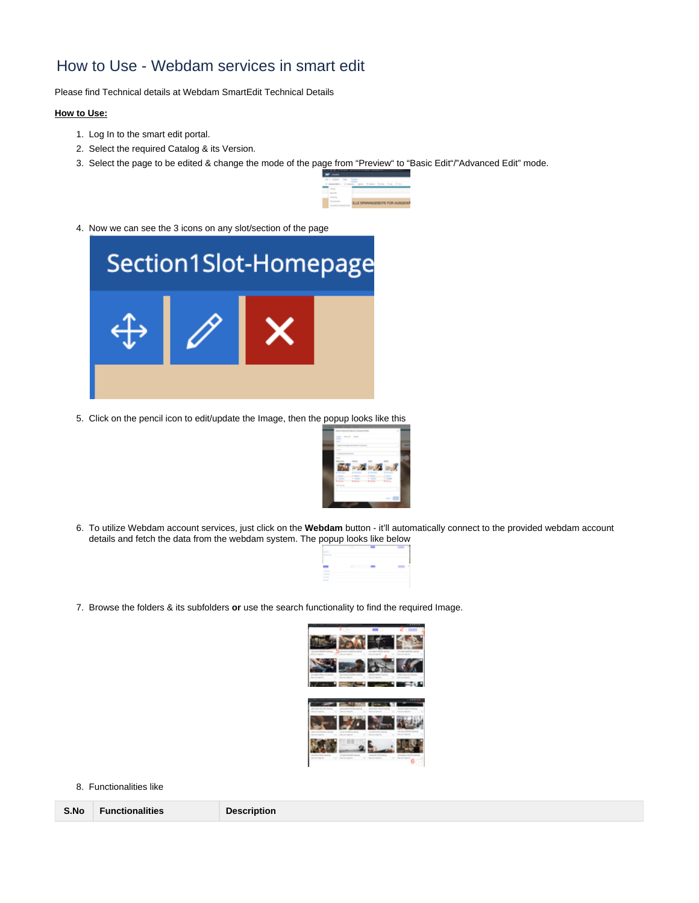# How to Use - Webdam services in smart edit

Please find Technical details at [Webdam SmartEdit Technical Details](https://loopin.atlassian.net/wiki/spaces/BYN/pages/1403879425/Webdam+SmartEdit+Technical+Details)

### **How to Use:**

- 1. Log In to the smart edit portal.
- 2. Select the required Catalog & its Version.
- 3. Select the page to be edited & change the mode of the page from "Preview" to "Basic Edit"/"Advanced Edit" mode.



4. Now we can see the 3 icons on any slot/section of the page



5. Click on the pencil icon to edit/update the Image, then the popup looks like this



6. To utilize Webdam account services, just click on the **Webdam** button - it'll automatically connect to the provided webdam account details and fetch the data from the webdam system. The popup looks like below



7. Browse the folders & its subfolders **or** use the search functionality to find the required Image.



#### 8. Functionalities like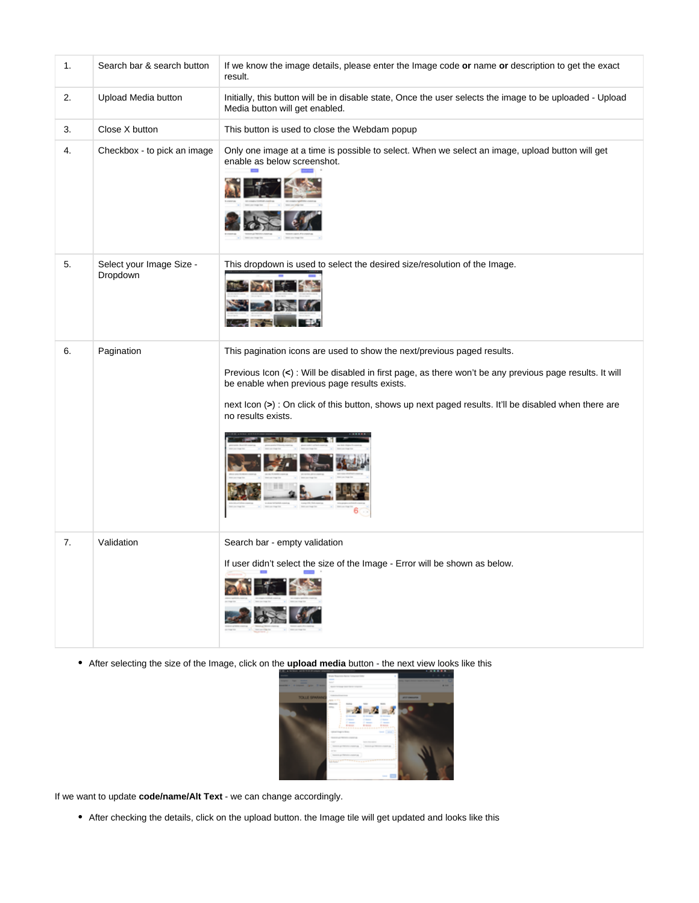| $\mathbf{1}$ . | Search bar & search button           | If we know the image details, please enter the Image code or name or description to get the exact<br>result.                                                                                                                                                                                                               |
|----------------|--------------------------------------|----------------------------------------------------------------------------------------------------------------------------------------------------------------------------------------------------------------------------------------------------------------------------------------------------------------------------|
| 2.             | Upload Media button                  | Initially, this button will be in disable state, Once the user selects the image to be uploaded - Upload<br>Media button will get enabled.                                                                                                                                                                                 |
| 3.             | Close X button                       | This button is used to close the Webdam popup                                                                                                                                                                                                                                                                              |
| 4.             | Checkbox - to pick an image          | Only one image at a time is possible to select. When we select an image, upload button will get<br>enable as below screenshot.                                                                                                                                                                                             |
| 5.             | Select your Image Size -<br>Dropdown | This dropdown is used to select the desired size/resolution of the Image.                                                                                                                                                                                                                                                  |
| 6.             | Pagination                           | This pagination icons are used to show the next/previous paged results.                                                                                                                                                                                                                                                    |
|                |                                      | Previous Icon $\left\langle \epsilon \right\rangle$ : Will be disabled in first page, as there won't be any previous page results. It will<br>be enable when previous page results exists.<br>next Icon (>) : On click of this button, shows up next paged results. It'll be disabled when there are<br>no results exists. |
|                |                                      | <b>CATI</b>                                                                                                                                                                                                                                                                                                                |
| 7.             | Validation                           | Search bar - empty validation<br>If user didn't select the size of the Image - Error will be shown as below.                                                                                                                                                                                                               |

After selecting the size of the Image, click on the **upload media** button - the next view looks like this



If we want to update **code/name/Alt Text** - we can change accordingly.

After checking the details, click on the upload button. the Image tile will get updated and looks like this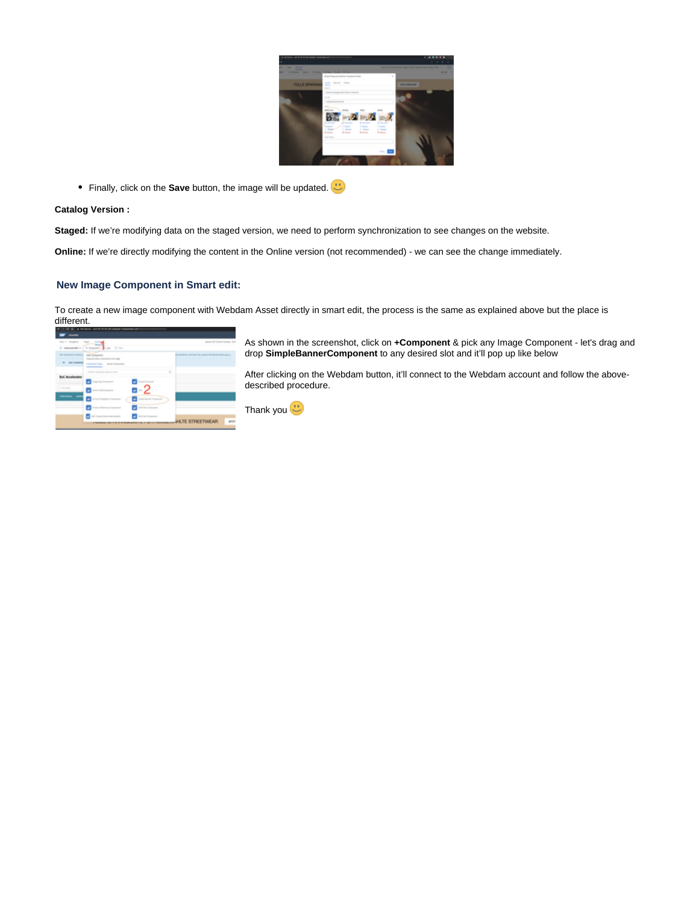| a british additional compa-                                                            |                                                                                                                                                                                        |                   |
|----------------------------------------------------------------------------------------|----------------------------------------------------------------------------------------------------------------------------------------------------------------------------------------|-------------------|
| ۰<br><b>The Contract</b><br>$-$<br>-<br><b>Branch</b><br>-<br><b>A SHOPPER COMPANY</b> | <b>Service State</b>                                                                                                                                                                   | ۰<br>--           |
|                                                                                        | Single Reservator Barnet Component States<br>٠                                                                                                                                         |                   |
| <b>TOLLE SPAANAC</b>                                                                   | ment forced more.<br>-<br><b>Service</b>                                                                                                                                               | <b>STATISTICS</b> |
|                                                                                        | lease increase that there beams<br>-                                                                                                                                                   |                   |
|                                                                                        | ___<br>$\sim$<br>÷                                                                                                                                                                     |                   |
|                                                                                        | $\sim$                                                                                                                                                                                 |                   |
|                                                                                        | <b><i><i><u>ALCOHOLS</u></i></i></b>                                                                                                                                                   |                   |
|                                                                                        | <b>States</b><br><b>County</b><br><b>Distances</b><br><b>happen</b><br><b>College</b><br>--<br><b>College</b><br><b>STATISTICS</b><br>$\frac{1}{2}$<br>$+$<br><b>State</b><br>$\cdots$ |                   |
|                                                                                        | <b>SAN FRANK</b>                                                                                                                                                                       |                   |
|                                                                                        |                                                                                                                                                                                        |                   |
|                                                                                        |                                                                                                                                                                                        |                   |
|                                                                                        |                                                                                                                                                                                        |                   |

Finally, click on the **Save** button, the image will be updated.

#### **Catalog Version :**

**Staged:** If we're modifying data on the staged version, we need to perform synchronization to see changes on the website.

**Online:** If we're directly modifying the content in the Online version (not recommended) - we can see the change immediately.

## **New Image Component in Smart edit:**

To create a new image component with Webdam Asset directly in smart edit, the process is the same as explained above but the place is different.

| line is incomplex<br><b><i><u>American</u></i></b> | $\overline{\gamma}_{\rm{max}}$<br>Can Elect<br><b>Source</b>                          | Appear Oil Contest Casting - Doll               |
|----------------------------------------------------|---------------------------------------------------------------------------------------|-------------------------------------------------|
| <b>Microsoft Address Contract of</b>               | <b>The State Street</b><br><b>AND CATALOGS</b><br>They are often components and asset | in believes, sincere la coura lichtennelitrogen |
| <b>SHA EDWARD</b>                                  | Conserved Service - Service Conserversity                                             |                                                 |
|                                                    | Search component bate for racing                                                      | i,                                              |
| <b>CAnalysist</b>                                  | ga king Component                                                                     |                                                 |
| and manager                                        | п                                                                                     |                                                 |
| $-$                                                |                                                                                       |                                                 |
|                                                    | Wednesday and the Party<br>-<br><b>Service</b><br>--                                  |                                                 |
|                                                    | ۰<br>clear include:<br>the Company's                                                  |                                                 |

As shown in the screenshot, click on **+Component** & pick any Image Component - let's drag and drop **SimpleBannerComponent** to any desired slot and it'll pop up like below

After clicking on the Webdam button, it'll connect to the Webdam account and follow the abovedescribed procedure.